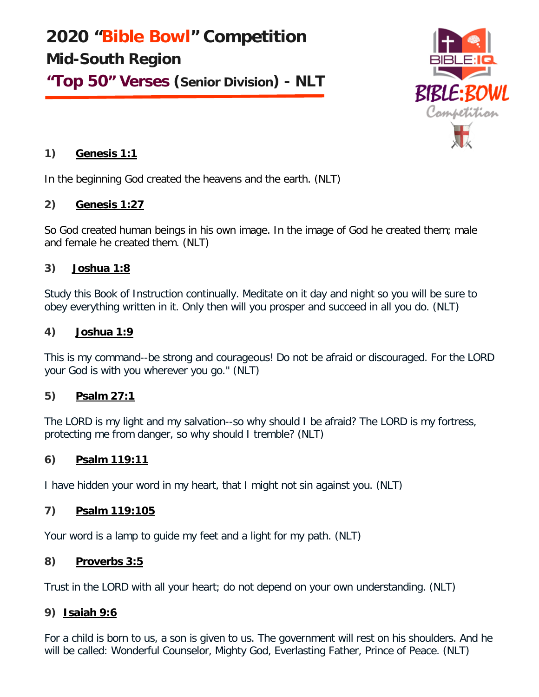**2020 "Bible Bowl" Competition Mid-South Region "Top 50" Verses (Senior Division) - NLT**



## **1) Genesis 1:1**

In the beginning God created the heavens and the earth. (NLT)

## **2) Genesis 1:27**

So God created human beings in his own image. In the image of God he created them; male and female he created them. (NLT)

#### **3) Joshua 1:8**

Study this Book of Instruction continually. Meditate on it day and night so you will be sure to obey everything written in it. Only then will you prosper and succeed in all you do. (NLT)

#### **4) Joshua 1:9**

This is my command--be strong and courageous! Do not be afraid or discouraged. For the LORD your God is with you wherever you go." (NLT)

## **5) Psalm 27:1**

The LORD is my light and my salvation--so why should I be afraid? The LORD is my fortress, protecting me from danger, so why should I tremble? (NLT)

## **6) Psalm 119:11**

I have hidden your word in my heart, that I might not sin against you. (NLT)

#### **7) Psalm 119:105**

Your word is a lamp to guide my feet and a light for my path. (NLT)

#### **8) Proverbs 3:5**

Trust in the LORD with all your heart; do not depend on your own understanding. (NLT)

## **9) Isaiah 9:6**

For a child is born to us, a son is given to us. The government will rest on his shoulders. And he will be called: Wonderful Counselor, Mighty God, Everlasting Father, Prince of Peace. (NLT)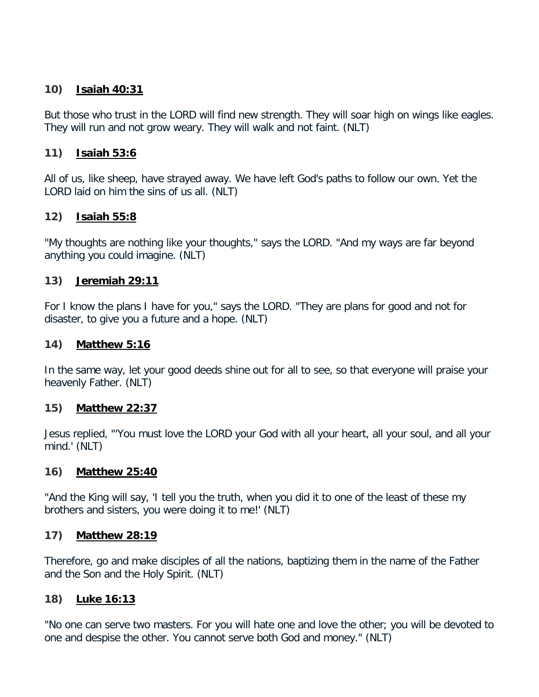## **10) Isaiah 40:31**

But those who trust in the LORD will find new strength. They will soar high on wings like eagles. They will run and not grow weary. They will walk and not faint. (NLT)

#### **11) Isaiah 53:6**

All of us, like sheep, have strayed away. We have left God's paths to follow our own. Yet the LORD laid on him the sins of us all. (NLT)

## **12) Isaiah 55:8**

"My thoughts are nothing like your thoughts," says the LORD. "And my ways are far beyond anything you could imagine. (NLT)

#### **13) Jeremiah 29:11**

For I know the plans I have for you," says the LORD. "They are plans for good and not for disaster, to give you a future and a hope. (NLT)

#### **14) Matthew 5:16**

In the same way, let your good deeds shine out for all to see, so that everyone will praise your heavenly Father. (NLT)

#### **15) Matthew 22:37**

Jesus replied, "'You must love the LORD your God with all your heart, all your soul, and all your mind.' (NLT)

#### **16) Matthew 25:40**

"And the King will say, 'I tell you the truth, when you did it to one of the least of these my brothers and sisters, you were doing it to me!' (NLT)

#### **17) Matthew 28:19**

Therefore, go and make disciples of all the nations, baptizing them in the name of the Father and the Son and the Holy Spirit. (NLT)

## **18) Luke 16:13**

"No one can serve two masters. For you will hate one and love the other; you will be devoted to one and despise the other. You cannot serve both God and money." (NLT)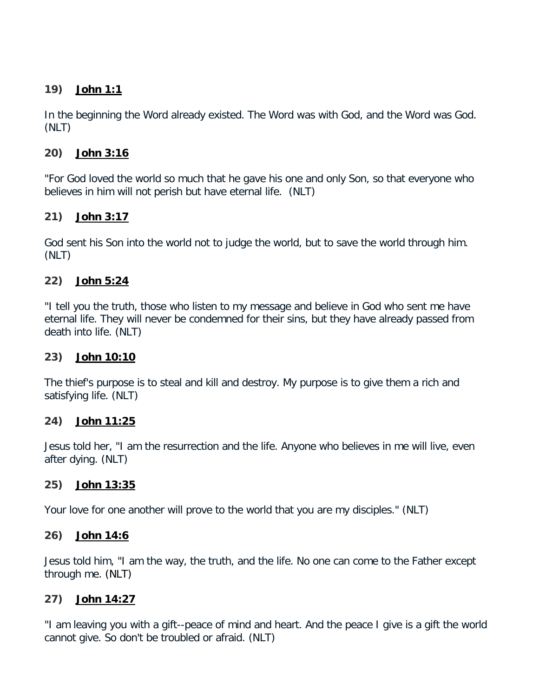## **19) John 1:1**

In the beginning the Word already existed. The Word was with God, and the Word was God. (NLT)

# **20) John 3:16**

"For God loved the world so much that he gave his one and only Son, so that everyone who believes in him will not perish but have eternal life. (NLT)

# **21) John 3:17**

God sent his Son into the world not to judge the world, but to save the world through him. (NLT)

# **22) John 5:24**

"I tell you the truth, those who listen to my message and believe in God who sent me have eternal life. They will never be condemned for their sins, but they have already passed from death into life. (NLT)

# **23) John 10:10**

The thief's purpose is to steal and kill and destroy. My purpose is to give them a rich and satisfying life. (NLT)

## **24) John 11:25**

Jesus told her, "I am the resurrection and the life. Anyone who believes in me will live, even after dying. (NLT)

## **25) John 13:35**

Your love for one another will prove to the world that you are my disciples." (NLT)

## **26) John 14:6**

Jesus told him, "I am the way, the truth, and the life. No one can come to the Father except through me. (NLT)

# **27) John 14:27**

"I am leaving you with a gift--peace of mind and heart. And the peace I give is a gift the world cannot give. So don't be troubled or afraid. (NLT)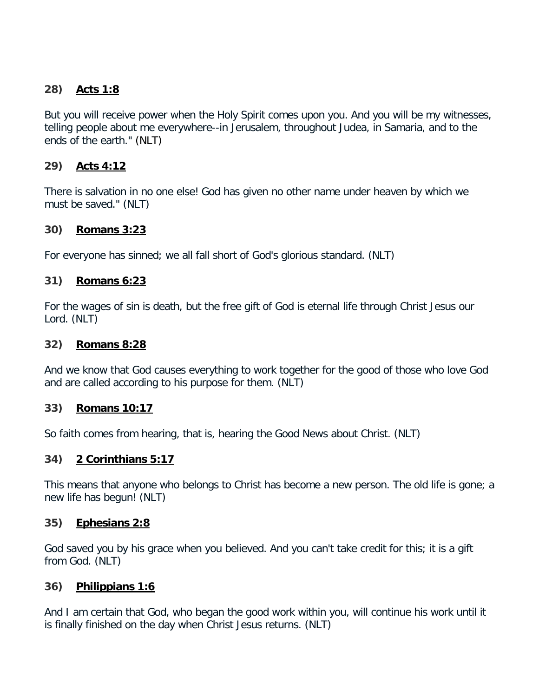# **28) Acts 1:8**

But you will receive power when the Holy Spirit comes upon you. And you will be my witnesses, telling people about me everywhere--in Jerusalem, throughout Judea, in Samaria, and to the ends of the earth." (NLT)

# **29) Acts 4:12**

There is salvation in no one else! God has given no other name under heaven by which we must be saved." (NLT)

#### **30) Romans 3:23**

For everyone has sinned; we all fall short of God's glorious standard. (NLT)

## **31) Romans 6:23**

For the wages of sin is death, but the free gift of God is eternal life through Christ Jesus our Lord. (NLT)

#### **32) Romans 8:28**

And we know that God causes everything to work together for the good of those who love God and are called according to his purpose for them. (NLT)

## **33) Romans 10:17**

So faith comes from hearing, that is, hearing the Good News about Christ. (NLT)

## **34) 2 Corinthians 5:17**

This means that anyone who belongs to Christ has become a new person. The old life is gone; a new life has begun! (NLT)

#### **35) Ephesians 2:8**

God saved you by his grace when you believed. And you can't take credit for this; it is a gift from God. (NLT)

## **36) Philippians 1:6**

And I am certain that God, who began the good work within you, will continue his work until it is finally finished on the day when Christ Jesus returns. (NLT)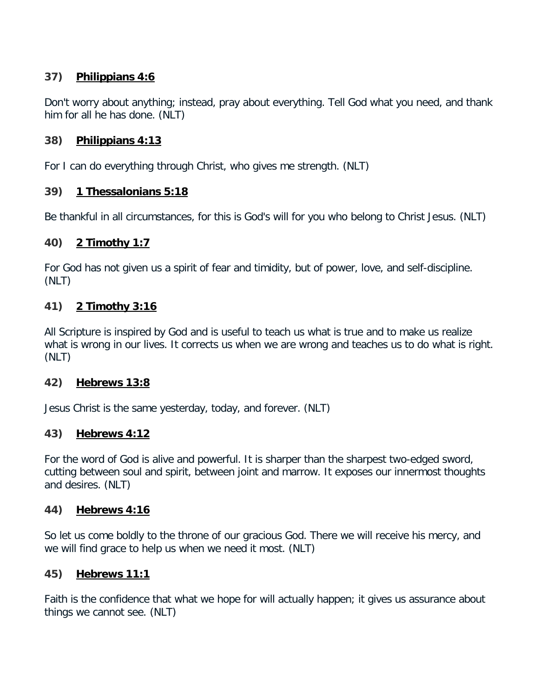# **37) Philippians 4:6**

Don't worry about anything; instead, pray about everything. Tell God what you need, and thank him for all he has done. (NLT)

# **38) Philippians 4:13**

For I can do everything through Christ, who gives me strength. (NLT)

## **39) 1 Thessalonians 5:18**

Be thankful in all circumstances, for this is God's will for you who belong to Christ Jesus. (NLT)

#### **40) 2 Timothy 1:7**

For God has not given us a spirit of fear and timidity, but of power, love, and self-discipline. (NLT)

## **41) 2 Timothy 3:16**

All Scripture is inspired by God and is useful to teach us what is true and to make us realize what is wrong in our lives. It corrects us when we are wrong and teaches us to do what is right. (NLT)

## **42) Hebrews 13:8**

Jesus Christ is the same yesterday, today, and forever. (NLT)

## **43) Hebrews 4:12**

For the word of God is alive and powerful. It is sharper than the sharpest two-edged sword, cutting between soul and spirit, between joint and marrow. It exposes our innermost thoughts and desires. (NLT)

#### **44) Hebrews 4:16**

So let us come boldly to the throne of our gracious God. There we will receive his mercy, and we will find grace to help us when we need it most. (NLT)

#### **45) Hebrews 11:1**

Faith is the confidence that what we hope for will actually happen; it gives us assurance about things we cannot see. (NLT)